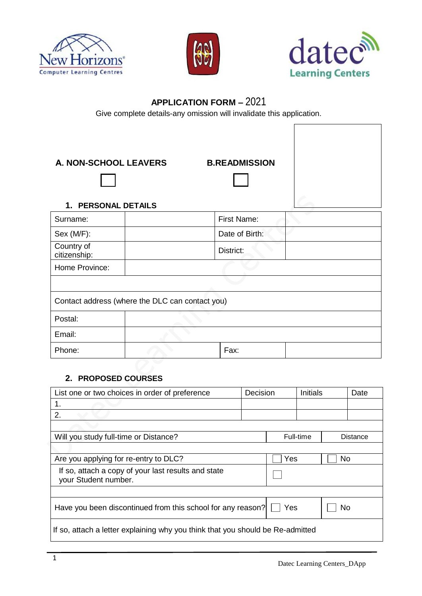





## **APPLICATION FORM –** 2021

Give complete details-any omission will invalidate this application.

**A. NON-SCHOOL LEAVERS B.READMISSION**

Г ٦

## **1. PERSONAL DETAILS**

| I. FERJUNAL DETAILJ        |                                                 |                    |  |
|----------------------------|-------------------------------------------------|--------------------|--|
| Surname:                   |                                                 | <b>First Name:</b> |  |
| Sex (M/F):                 |                                                 | Date of Birth:     |  |
| Country of<br>citizenship: |                                                 | District:          |  |
| Home Province:             |                                                 |                    |  |
|                            |                                                 |                    |  |
|                            | Contact address (where the DLC can contact you) |                    |  |
| Postal:                    |                                                 |                    |  |
| Email:                     |                                                 |                    |  |
| Phone:                     |                                                 | Fax:               |  |

## **2. PROPOSED COURSES**

| List one or two choices in order of preference<br>Decision                     |  | <b>Initials</b> |  |                 | Date |
|--------------------------------------------------------------------------------|--|-----------------|--|-----------------|------|
| 1.                                                                             |  |                 |  |                 |      |
| 2.                                                                             |  |                 |  |                 |      |
|                                                                                |  |                 |  |                 |      |
| Will you study full-time or Distance?                                          |  | Full-time       |  | <b>Distance</b> |      |
|                                                                                |  |                 |  |                 |      |
| Are you applying for re-entry to DLC?                                          |  | Yes             |  | No              |      |
| If so, attach a copy of your last results and state<br>your Student number.    |  |                 |  |                 |      |
|                                                                                |  |                 |  |                 |      |
| Have you been discontinued from this school for any reason?                    |  | Yes             |  | <b>No</b>       |      |
| If so, attach a letter explaining why you think that you should be Re-admitted |  |                 |  |                 |      |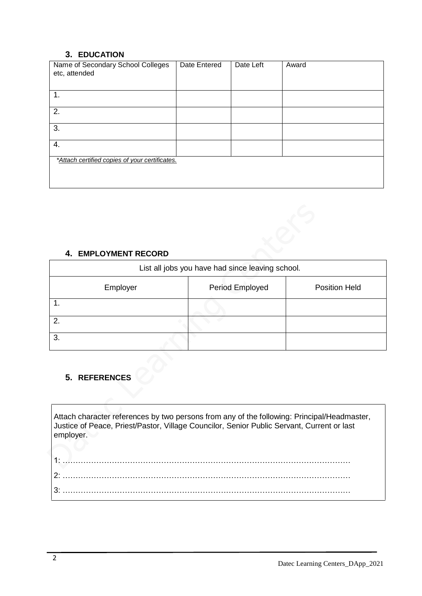## **3. EDUCATION**

| Name of Secondary School Colleges<br>etc, attended | Date Entered | Date Left | Award |
|----------------------------------------------------|--------------|-----------|-------|
| 1.                                                 |              |           |       |
| 2.                                                 |              |           |       |
| 3.                                                 |              |           |       |
| 4.                                                 |              |           |       |
| *Attach certified copies of your certificates.     |              |           |       |
|                                                    |              |           |       |

## **4. EMPLOYMENT RECORD**

| List all jobs you have had since leaving school. |                 |                      |  |  |  |
|--------------------------------------------------|-----------------|----------------------|--|--|--|
| Employer                                         | Period Employed | <b>Position Held</b> |  |  |  |
|                                                  |                 |                      |  |  |  |
| 2.                                               |                 |                      |  |  |  |
| 3.                                               |                 |                      |  |  |  |

# **5. REFERENCES**

Attach character references by two persons from any of the following: Principal/Headmaster, Justice of Peace, Priest/Pastor, Village Councilor, Senior Public Servant, Current or last employer.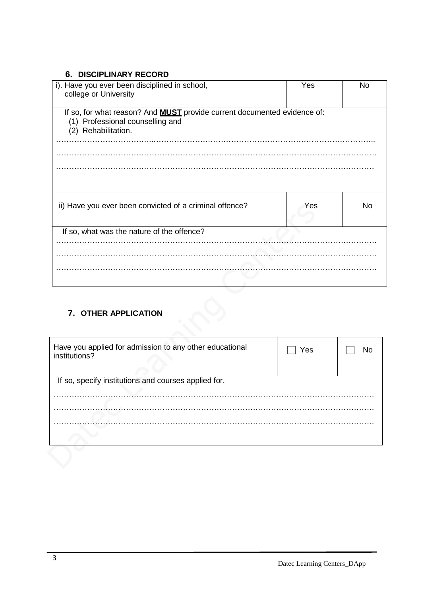## **6. DISCIPLINARY RECORD**

| i). Have you ever been disciplined in school,<br>college or University                                                                     | Yes | No |  |  |
|--------------------------------------------------------------------------------------------------------------------------------------------|-----|----|--|--|
| If so, for what reason? And <b>MUST</b> provide current documented evidence of:<br>(1) Professional counselling and<br>(2) Rehabilitation. |     |    |  |  |
|                                                                                                                                            |     |    |  |  |
| ii) Have you ever been convicted of a criminal offence?                                                                                    | Yes | No |  |  |
| If so, what was the nature of the offence?                                                                                                 |     |    |  |  |
|                                                                                                                                            |     |    |  |  |
|                                                                                                                                            |     |    |  |  |
|                                                                                                                                            |     |    |  |  |

## **7. OTHER APPLICATION**

| Have you applied for admission to any other educational<br>institutions? | Yes |  |  |  |
|--------------------------------------------------------------------------|-----|--|--|--|
| If so, specify institutions and courses applied for.                     |     |  |  |  |
|                                                                          |     |  |  |  |
|                                                                          |     |  |  |  |